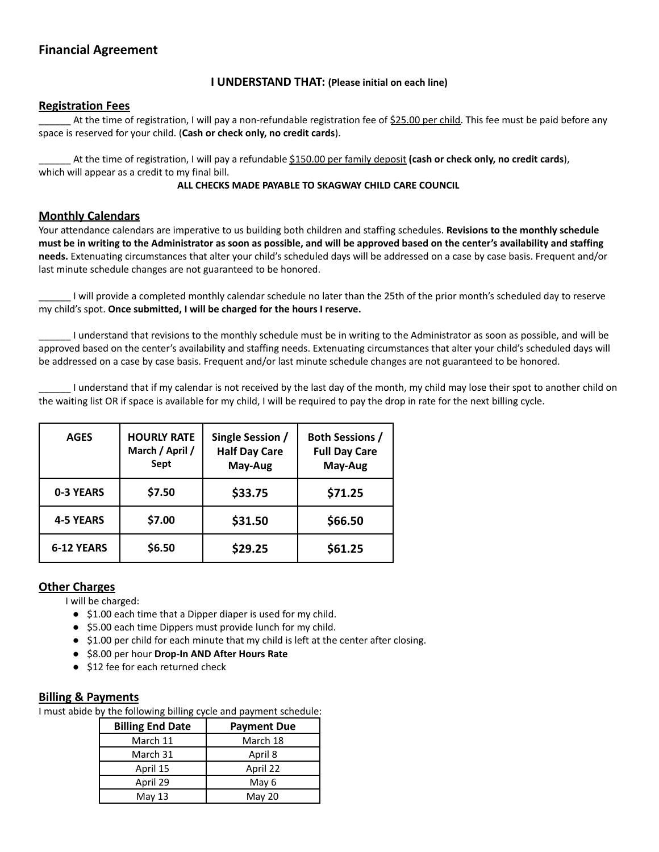# **Financial Agreement**

### **I UNDERSTAND THAT: (Please initial on each line)**

## **Registration Fees**

At the time of registration, I will pay a non-refundable registration fee of \$25.00 per child. This fee must be paid before any space is reserved for your child. (**Cash or check only, no credit cards**).

\_\_\_\_\_\_ At the time of registration, I will pay a refundable \$150.00 per family deposit **(cash or check only, no credit cards**), which will appear as a credit to my final bill.

### **ALL CHECKS MADE PAYABLE TO SKAGWAY CHILD CARE COUNCIL**

## **Monthly Calendars**

Your attendance calendars are imperative to us building both children and staffing schedules. **Revisions to the monthly schedule** must be in writing to the Administrator as soon as possible, and will be approved based on the center's availability and staffing **needs.** Extenuating circumstances that alter your child's scheduled days will be addressed on a case by case basis. Frequent and/or last minute schedule changes are not guaranteed to be honored.

\_\_\_\_\_\_ I will provide a completed monthly calendar schedule no later than the 25th of the prior month's scheduled day to reserve my child's spot. **Once submitted, I will be charged for the hours I reserve.**

\_\_\_\_\_\_ I understand that revisions to the monthly schedule must be in writing to the Administrator as soon as possible, and will be approved based on the center's availability and staffing needs. Extenuating circumstances that alter your child's scheduled days will be addressed on a case by case basis. Frequent and/or last minute schedule changes are not guaranteed to be honored.

I understand that if my calendar is not received by the last day of the month, my child may lose their spot to another child on the waiting list OR if space is available for my child, I will be required to pay the drop in rate for the next billing cycle.

| <b>AGES</b>       | <b>HOURLY RATE</b><br>March / April /<br>Sept | Single Session /<br><b>Half Day Care</b><br>May-Aug | <b>Both Sessions /</b><br><b>Full Day Care</b><br>May-Aug |
|-------------------|-----------------------------------------------|-----------------------------------------------------|-----------------------------------------------------------|
| <b>0-3 YEARS</b>  | \$7.50                                        | \$33.75                                             | \$71.25                                                   |
| <b>4-5 YEARS</b>  | \$7.00                                        | \$31.50                                             | \$66.50                                                   |
| <b>6-12 YEARS</b> | \$6.50                                        | \$29.25                                             | \$61.25                                                   |

### **Other Charges**

I will be charged:

- \$1.00 each time that a Dipper diaper is used for my child.
- \$5.00 each time Dippers must provide lunch for my child.
- \$1.00 per child for each minute that my child is left at the center after closing.
- \$8.00 per hour **Drop-In AND After Hours Rate**
- \$12 fee for each returned check

### **Billing & Payments**

I must abide by the following billing cycle and payment schedule:

| <b>Billing End Date</b> | <b>Payment Due</b> |  |
|-------------------------|--------------------|--|
| March 11                | March 18           |  |
| March 31                | April 8            |  |
| April 15                | April 22           |  |
| April 29                | May 6              |  |
| May $13$                | May 20             |  |